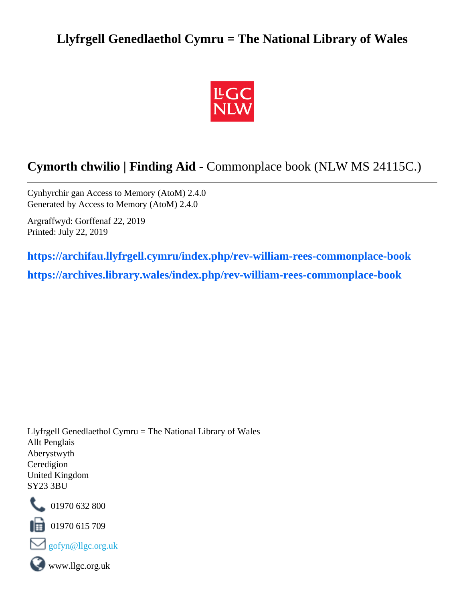## **Llyfrgell Genedlaethol Cymru = The National Library of Wales**



# **Cymorth chwilio | Finding Aid -** Commonplace book (NLW MS 24115C.)

Cynhyrchir gan Access to Memory (AtoM) 2.4.0 Generated by Access to Memory (AtoM) 2.4.0

Argraffwyd: Gorffenaf 22, 2019 Printed: July 22, 2019

**[https://archifau.llyfrgell.cymru/index.php/rev-william-rees-commonplace-book](https://archifau.llyfrgell.cymru/index.php/rev-william-rees-commonplace-book;isad?sf_culture=cy) [https://archives.library.wales/index.php/rev-william-rees-commonplace-book](https://archives.library.wales/index.php/rev-william-rees-commonplace-book;isad?sf_culture=en)**

Llyfrgell Genedlaethol Cymru = The National Library of Wales Allt Penglais Aberystwyth Ceredigion United Kingdom SY23 3BU



101970 632 800

 $\blacksquare$  01970 615 709





www.llgc.org.uk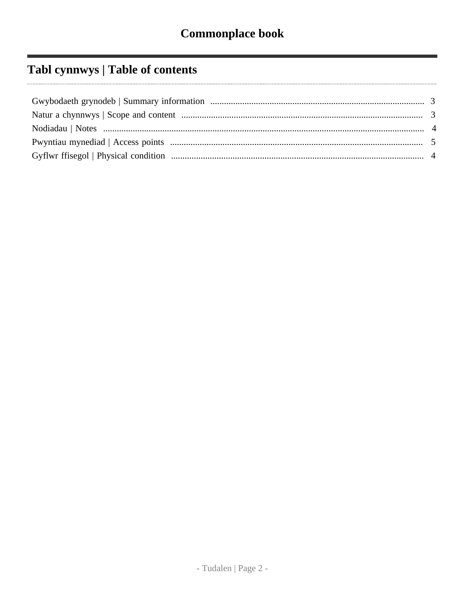# Tabl cynnwys | Table of contents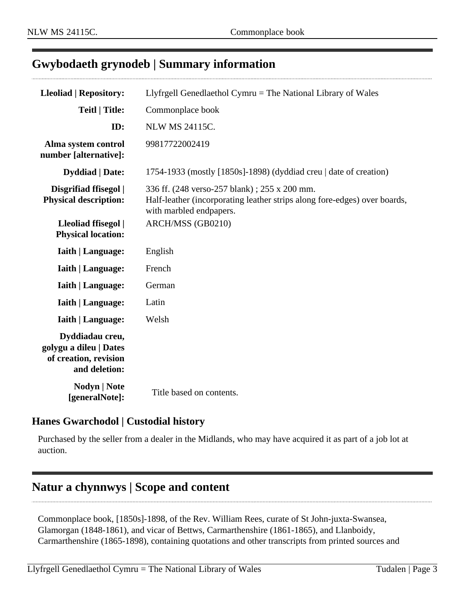## <span id="page-2-0"></span>**Gwybodaeth grynodeb | Summary information**

| <b>Lleoliad   Repository:</b>                                                       | Llyfrgell Genedlaethol Cymru = The National Library of Wales                                                                                         |
|-------------------------------------------------------------------------------------|------------------------------------------------------------------------------------------------------------------------------------------------------|
| <b>Teitl   Title:</b>                                                               | Commonplace book                                                                                                                                     |
| ID:                                                                                 | <b>NLW MS 24115C.</b>                                                                                                                                |
| Alma system control<br>number [alternative]:                                        | 99817722002419                                                                                                                                       |
| <b>Dyddiad</b>   Date:                                                              | 1754-1933 (mostly [1850s]-1898) (dyddiad creu $\vert$ date of creation)                                                                              |
| Disgrifiad ffisegol  <br><b>Physical description:</b>                               | 336 ff. (248 verso-257 blank); 255 x 200 mm.<br>Half-leather (incorporating leather strips along fore-edges) over boards,<br>with marbled endpapers. |
| Lleoliad ffisegol  <br><b>Physical location:</b>                                    | ARCH/MSS (GB0210)                                                                                                                                    |
| <b>Iaith   Language:</b>                                                            | English                                                                                                                                              |
| <b>Iaith   Language:</b>                                                            | French                                                                                                                                               |
| <b>Iaith   Language:</b>                                                            | German                                                                                                                                               |
| <b>Iaith   Language:</b>                                                            | Latin                                                                                                                                                |
| <b>Iaith   Language:</b>                                                            | Welsh                                                                                                                                                |
| Dyddiadau creu,<br>golygu a dileu   Dates<br>of creation, revision<br>and deletion: |                                                                                                                                                      |
| <b>Nodyn   Note</b><br>[generalNote]:                                               | Title based on contents.                                                                                                                             |

#### **Hanes Gwarchodol | Custodial history**

Purchased by the seller from a dealer in the Midlands, who may have acquired it as part of a job lot at auction.

## <span id="page-2-1"></span>**Natur a chynnwys | Scope and content**

Commonplace book, [1850s]-1898, of the Rev. William Rees, curate of St John-juxta-Swansea, Glamorgan (1848-1861), and vicar of Bettws, Carmarthenshire (1861-1865), and Llanboidy, Carmarthenshire (1865-1898), containing quotations and other transcripts from printed sources and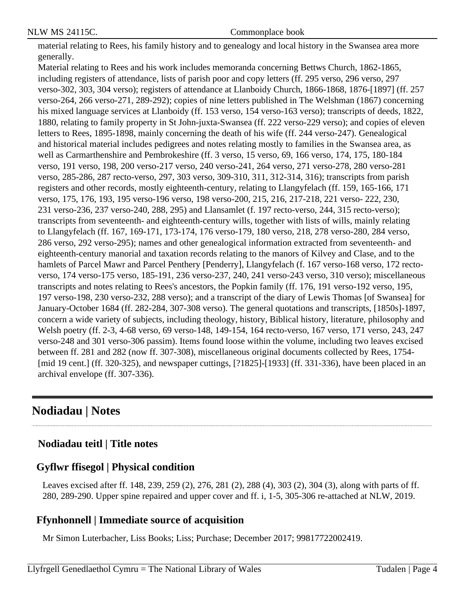material relating to Rees, his family history and to genealogy and local history in the Swansea area more generally.

Material relating to Rees and his work includes memoranda concerning Bettws Church, 1862-1865, including registers of attendance, lists of parish poor and copy letters (ff. 295 verso, 296 verso, 297 verso-302, 303, 304 verso); registers of attendance at Llanboidy Church, 1866-1868, 1876-[1897] (ff. 257 verso-264, 266 verso-271, 289-292); copies of nine letters published in The Welshman (1867) concerning his mixed language services at Llanboidy (ff. 153 verso, 154 verso-163 verso); transcripts of deeds, 1822, 1880, relating to family property in St John-juxta-Swansea (ff. 222 verso-229 verso); and copies of eleven letters to Rees, 1895-1898, mainly concerning the death of his wife (ff. 244 verso-247). Genealogical and historical material includes pedigrees and notes relating mostly to families in the Swansea area, as well as Carmarthenshire and Pembrokeshire (ff. 3 verso, 15 verso, 69, 166 verso, 174, 175, 180-184 verso, 191 verso, 198, 200 verso-217 verso, 240 verso-241, 264 verso, 271 verso-278, 280 verso-281 verso, 285-286, 287 recto-verso, 297, 303 verso, 309-310, 311, 312-314, 316); transcripts from parish registers and other records, mostly eighteenth-century, relating to Llangyfelach (ff. 159, 165-166, 171 verso, 175, 176, 193, 195 verso-196 verso, 198 verso-200, 215, 216, 217-218, 221 verso- 222, 230, 231 verso-236, 237 verso-240, 288, 295) and Llansamlet (f. 197 recto-verso, 244, 315 recto-verso); transcripts from seventeenth- and eighteenth-century wills, together with lists of wills, mainly relating to Llangyfelach (ff. 167, 169-171, 173-174, 176 verso-179, 180 verso, 218, 278 verso-280, 284 verso, 286 verso, 292 verso-295); names and other genealogical information extracted from seventeenth- and eighteenth-century manorial and taxation records relating to the manors of Kilvey and Clase, and to the hamlets of Parcel Mawr and Parcel Penthery [Penderry], Llangyfelach (f. 167 verso-168 verso, 172 rectoverso, 174 verso-175 verso, 185-191, 236 verso-237, 240, 241 verso-243 verso, 310 verso); miscellaneous transcripts and notes relating to Rees's ancestors, the Popkin family (ff. 176, 191 verso-192 verso, 195, 197 verso-198, 230 verso-232, 288 verso); and a transcript of the diary of Lewis Thomas [of Swansea] for January-October 1684 (ff. 282-284, 307-308 verso). The general quotations and transcripts, [1850s]-1897, concern a wide variety of subjects, including theology, history, Biblical history, literature, philosophy and Welsh poetry (ff. 2-3, 4-68 verso, 69 verso-148, 149-154, 164 recto-verso, 167 verso, 171 verso, 243, 247 verso-248 and 301 verso-306 passim). Items found loose within the volume, including two leaves excised between ff. 281 and 282 (now ff. 307-308), miscellaneous original documents collected by Rees, 1754- [mid 19 cent.] (ff. 320-325), and newspaper cuttings, [?1825]-[1933] (ff. 331-336), have been placed in an archival envelope (ff. 307-336).

## <span id="page-3-0"></span>**Nodiadau | Notes**

### **Nodiadau teitl | Title notes**

#### <span id="page-3-1"></span>**Gyflwr ffisegol | Physical condition**

Leaves excised after ff. 148, 239, 259 (2), 276, 281 (2), 288 (4), 303 (2), 304 (3), along with parts of ff. 280, 289-290. Upper spine repaired and upper cover and ff. i, 1-5, 305-306 re-attached at NLW, 2019.

### **Ffynhonnell | Immediate source of acquisition**

Mr Simon Luterbacher, Liss Books; Liss; Purchase; December 2017; 99817722002419.